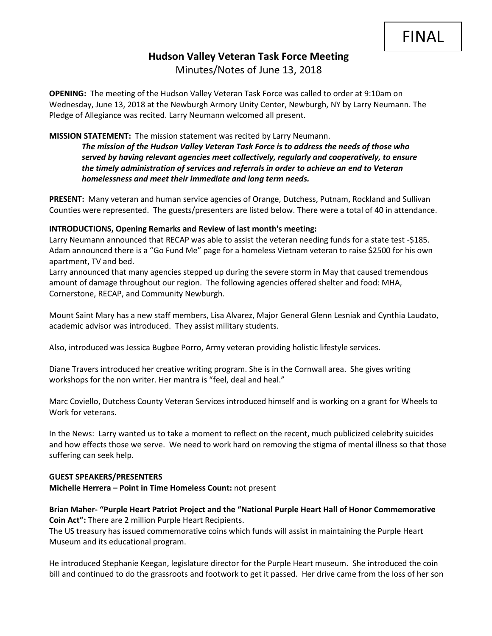# **Hudson Valley Veteran Task Force Meeting**  Minutes/Notes of June 13, 2018

**OPENING:** The meeting of the Hudson Valley Veteran Task Force was called to order at 9:10am on Wednesday, June 13, 2018 at the Newburgh Armory Unity Center, Newburgh, NY by Larry Neumann. The Pledge of Allegiance was recited. Larry Neumann welcomed all present.

### **MISSION STATEMENT:** The mission statement was recited by Larry Neumann.

*The mission of the Hudson Valley Veteran Task Force is to address the needs of those who served by having relevant agencies meet collectively, regularly and cooperatively, to ensure the timely administration of services and referrals in order to achieve an end to Veteran homelessness and meet their immediate and long term needs.* 

**PRESENT:** Many veteran and human service agencies of Orange, Dutchess, Putnam, Rockland and Sullivan Counties were represented. The guests/presenters are listed below. There were a total of 40 in attendance.

#### **INTRODUCTIONS, Opening Remarks and Review of last month's meeting:**

Larry Neumann announced that RECAP was able to assist the veteran needing funds for a state test -\$185. Adam announced there is a "Go Fund Me" page for a homeless Vietnam veteran to raise \$2500 for his own apartment, TV and bed.

Larry announced that many agencies stepped up during the severe storm in May that caused tremendous amount of damage throughout our region. The following agencies offered shelter and food: MHA, Cornerstone, RECAP, and Community Newburgh.

Mount Saint Mary has a new staff members, Lisa Alvarez, Major General Glenn Lesniak and Cynthia Laudato, academic advisor was introduced. They assist military students.

Also, introduced was Jessica Bugbee Porro, Army veteran providing holistic lifestyle services.

Diane Travers introduced her creative writing program. She is in the Cornwall area. She gives writing workshops for the non writer. Her mantra is "feel, deal and heal."

Marc Coviello, Dutchess County Veteran Services introduced himself and is working on a grant for Wheels to Work for veterans.

In the News: Larry wanted us to take a moment to reflect on the recent, much publicized celebrity suicides and how effects those we serve. We need to work hard on removing the stigma of mental illness so that those suffering can seek help.

#### **GUEST SPEAKERS/PRESENTERS**

**Michelle Herrera – Point in Time Homeless Count:** not present

## **Brian Maher- "Purple Heart Patriot Project and the "National Purple Heart Hall of Honor Commemorative Coin Act":** There are 2 million Purple Heart Recipients.

The US treasury has issued commemorative coins which funds will assist in maintaining the Purple Heart Museum and its educational program.

He introduced Stephanie Keegan, legislature director for the Purple Heart museum. She introduced the coin bill and continued to do the grassroots and footwork to get it passed. Her drive came from the loss of her son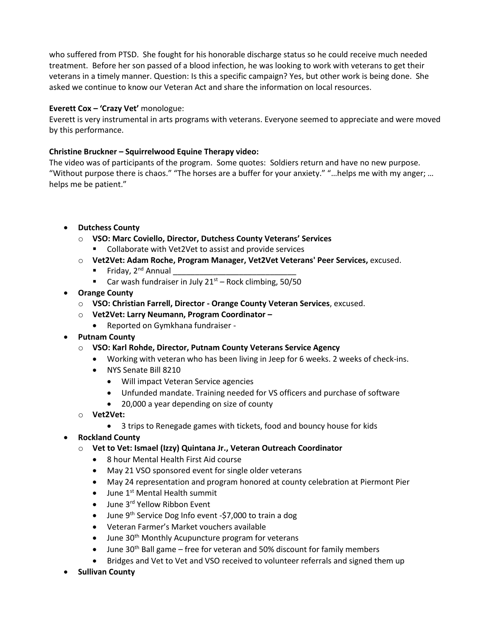who suffered from PTSD. She fought for his honorable discharge status so he could receive much needed treatment. Before her son passed of a blood infection, he was looking to work with veterans to get their veterans in a timely manner. Question: Is this a specific campaign? Yes, but other work is being done. She asked we continue to know our Veteran Act and share the information on local resources.

# **Everett Cox – 'Crazy Vet'** monologue:

Everett is very instrumental in arts programs with veterans. Everyone seemed to appreciate and were moved by this performance.

# **Christine Bruckner – Squirrelwood Equine Therapy video:**

The video was of participants of the program. Some quotes: Soldiers return and have no new purpose. "Without purpose there is chaos." "The horses are a buffer for your anxiety." "…helps me with my anger; … helps me be patient."

# • **Dutchess County**

- o **VSO: Marc Coviello, Director, Dutchess County Veterans' Services** ■ Collaborate with Vet2Vet to assist and provide services
- o **Vet2Vet: Adam Roche, Program Manager, Vet2Vet Veterans' Peer Services,** excused.
	- **•** Friday,  $2^{nd}$  Annual
	- Car wash fundraiser in July  $21<sup>st</sup>$  Rock climbing, 50/50
- **Orange County**
	- o **VSO: Christian Farrell, Director - Orange County Veteran Services**, excused.
	- o **Vet2Vet: Larry Neumann, Program Coordinator –**
		- Reported on Gymkhana fundraiser -
- **Putnam County**
	- o **VSO: Karl Rohde, Director, Putnam County Veterans Service Agency**
		- Working with veteran who has been living in Jeep for 6 weeks. 2 weeks of check-ins.
		- NYS Senate Bill 8210
			- Will impact Veteran Service agencies
			- Unfunded mandate. Training needed for VS officers and purchase of software
			- 20,000 a year depending on size of county
	- o **Vet2Vet:** 
		- 3 trips to Renegade games with tickets, food and bouncy house for kids
- **Rockland County**
	- o **Vet to Vet: Ismael (Izzy) Quintana Jr., Veteran Outreach Coordinator**
		- 8 hour Mental Health First Aid course
		- May 21 VSO sponsored event for single older veterans
		- May 24 representation and program honored at county celebration at Piermont Pier
		- $\bullet$  June 1<sup>st</sup> Mental Health summit
		- June 3rd Yellow Ribbon Event
		- June  $9<sup>th</sup>$  Service Dog Info event -\$7,000 to train a dog
		- Veteran Farmer's Market vouchers available
		- June 30<sup>th</sup> Monthly Acupuncture program for veterans
		- June 30<sup>th</sup> Ball game free for veteran and 50% discount for family members
		- Bridges and Vet to Vet and VSO received to volunteer referrals and signed them up
- **Sullivan County**